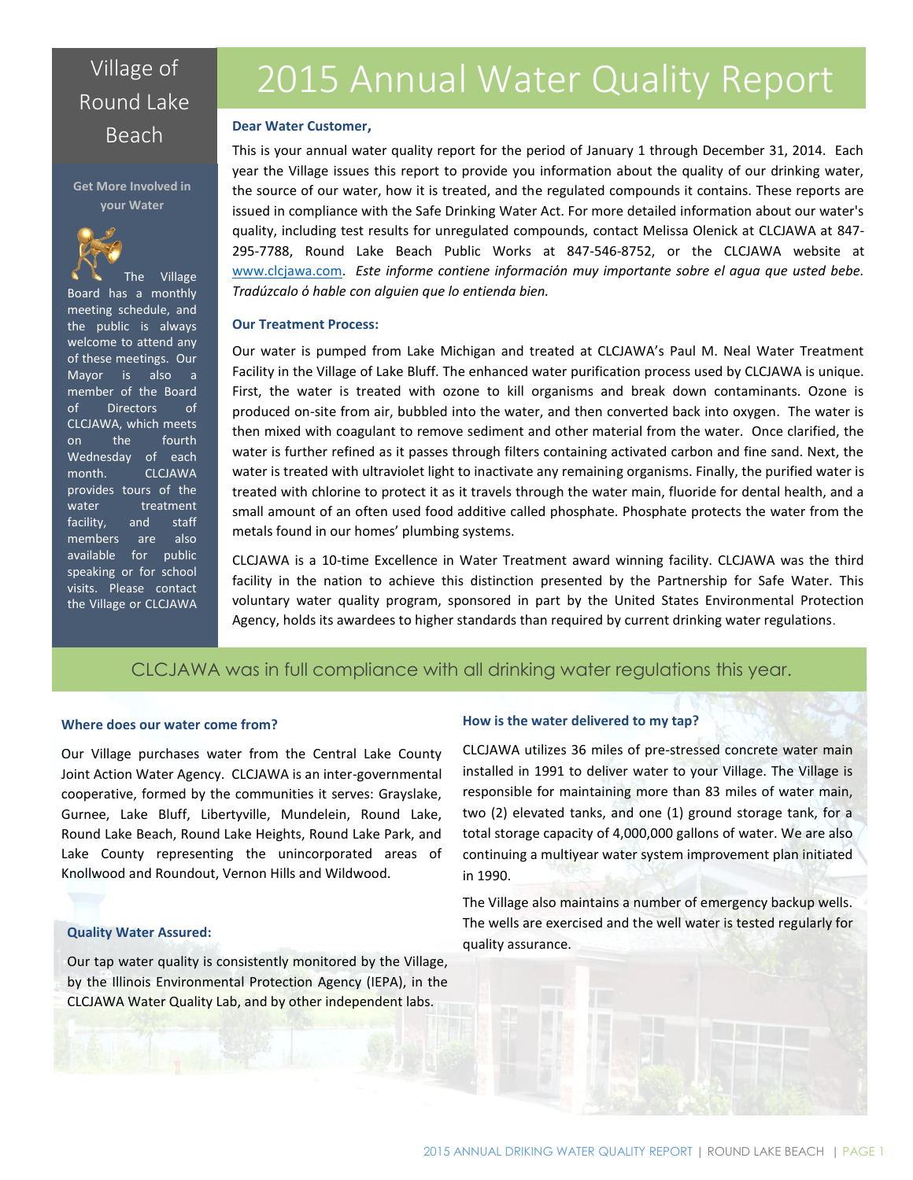# Round Lake

#### **Get More Involved in your Water**



The Village Board has a monthly meeting schedule, and the public is always welcome to attend any of these meetings. Our Mayor is also a member of the Board of Directors of CLCJAWA, which meets on the fourth Wednesday of each month. CLCJAWA provides tours of the water treatment facility, and staff members are also available for public speaking or for school visits. Please contact the Village or CLCJAWA

# Village of 2015 Annual Water Quality Report

# Beach **Dear Water Customer,**

This is your annual water quality report for the period of January 1 through December 31, 2014. Each year the Village issues this report to provide you information about the quality of our drinking water, the source of our water, how it is treated, and the regulated compounds it contains. These reports are issued in compliance with the Safe Drinking Water Act. For more detailed information about our water's quality, including test results for unregulated compounds, contact Melissa Olenick at CLCJAWA at 847- 295-7788, Round Lake Beach Public Works at 847-546-8752, or the CLCJAWA website at [www.clcjawa.com.](file:///C:/Users/molenick/Google%20Drive/Lab/Water%20Quality%20Reports/CCR/CCR2015/www.clcjawa.com) *Este informe contiene informaciόn muy importante sobre el agua que usted bebe. Tradúzcalo ό hable con alguien que lo entienda bien.*

#### **Our Treatment Process:**

Our water is pumped from Lake Michigan and treated at CLCJAWA's Paul M. Neal Water Treatment Facility in the Village of Lake Bluff. The enhanced water purification process used by CLCJAWA is unique. First, the water is treated with ozone to kill organisms and break down contaminants. Ozone is produced on-site from air, bubbled into the water, and then converted back into oxygen. The water is then mixed with coagulant to remove sediment and other material from the water. Once clarified, the water is further refined as it passes through filters containing activated carbon and fine sand. Next, the water is treated with ultraviolet light to inactivate any remaining organisms. Finally, the purified water is treated with chlorine to protect it as it travels through the water main, fluoride for dental health, and a small amount of an often used food additive called phosphate. Phosphate protects the water from the metals found in our homes' plumbing systems.

CLCJAWA is a 10-time Excellence in Water Treatment award winning facility. CLCJAWA was the third facility in the nation to achieve this distinction presented by the Partnership for Safe Water. This voluntary water quality program, sponsored in part by the United States Environmental Protection Agency, holds its awardees to higher standards than required by current drinking water regulations.

## CLCJAWA was in full compliance with all drinking water regulations this year.

#### **Where does our water come from?**

Our Village purchases water from the Central Lake County Joint Action Water Agency. CLCJAWA is an inter-governmental cooperative, formed by the communities it serves: Grayslake, Gurnee, Lake Bluff, Libertyville, Mundelein, Round Lake, Round Lake Beach, Round Lake Heights, Round Lake Park, and Lake County representing the unincorporated areas of Knollwood and Roundout, Vernon Hills and Wildwood.

#### **Quality Water Assured:**

Our tap water quality is consistently monitored by the Village, by the Illinois Environmental Protection Agency (IEPA), in the CLCJAWA Water Quality Lab, and by other independent labs.

#### **How is the water delivered to my tap?**

CLCJAWA utilizes 36 miles of pre-stressed concrete water main installed in 1991 to deliver water to your Village. The Village is responsible for maintaining more than 83 miles of water main, two (2) elevated tanks, and one (1) ground storage tank, for a total storage capacity of 4,000,000 gallons of water. We are also continuing a multiyear water system improvement plan initiated in 1990.

The Village also maintains a number of emergency backup wells. The wells are exercised and the well water is tested regularly for quality assurance.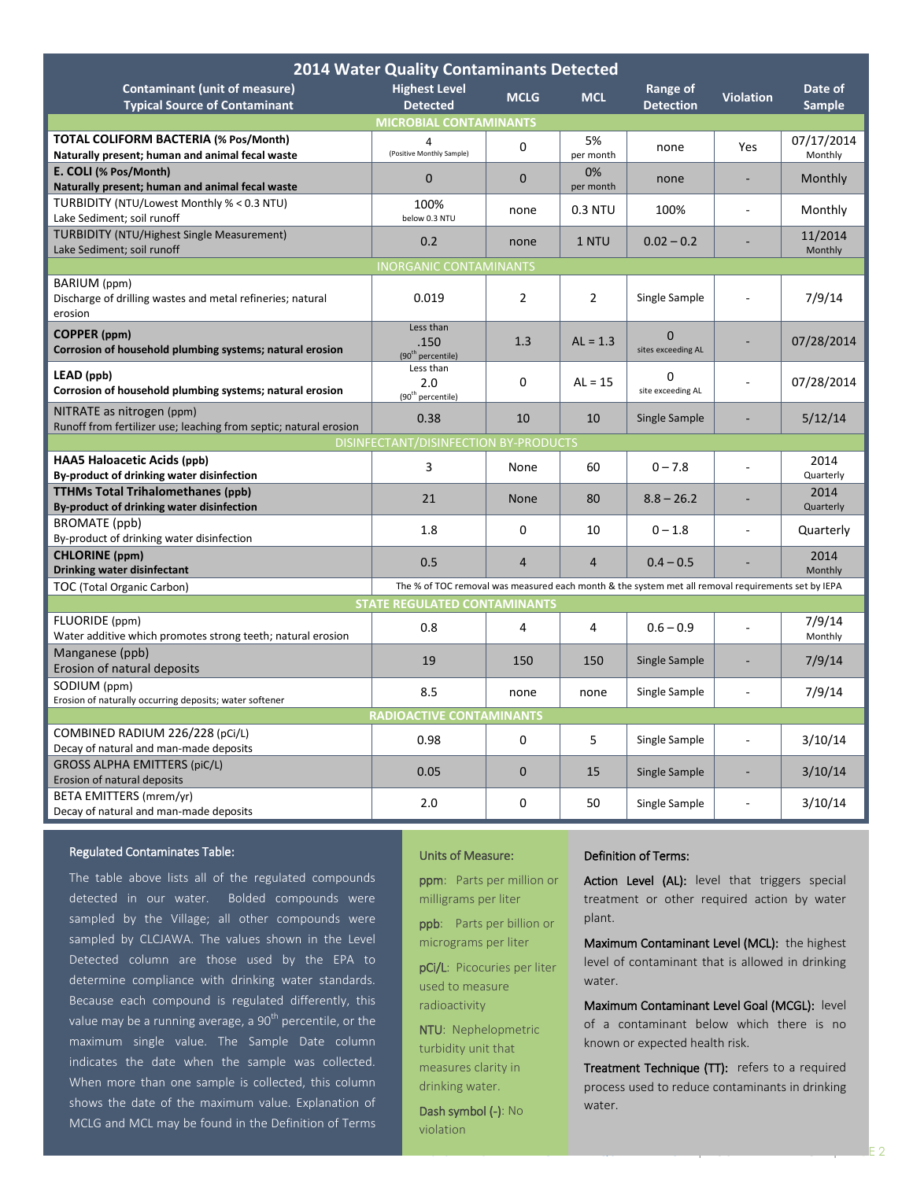| <b>2014 Water Quality Contaminants Detected</b>                                                                                         |                                                    |                |                 |                                |                          |                          |  |  |  |  |
|-----------------------------------------------------------------------------------------------------------------------------------------|----------------------------------------------------|----------------|-----------------|--------------------------------|--------------------------|--------------------------|--|--|--|--|
| <b>Contaminant (unit of measure)</b><br><b>Typical Source of Contaminant</b>                                                            | <b>Highest Level</b><br><b>Detected</b>            | <b>MCLG</b>    | <b>MCL</b>      | Range of<br><b>Detection</b>   | <b>Violation</b>         | Date of<br><b>Sample</b> |  |  |  |  |
| <b>MICROBIAL CONTAMINANTS</b>                                                                                                           |                                                    |                |                 |                                |                          |                          |  |  |  |  |
| TOTAL COLIFORM BACTERIA (% Pos/Month)<br>Naturally present; human and animal fecal waste                                                | 4<br>(Positive Monthly Sample)                     | 0              | 5%<br>per month | none                           | Yes                      | 07/17/2014<br>Monthly    |  |  |  |  |
| E. COLI (% Pos/Month)                                                                                                                   | $\mathbf{0}$                                       | $\mathbf{0}$   | 0%              | none                           |                          | Monthly                  |  |  |  |  |
| Naturally present; human and animal fecal waste                                                                                         |                                                    |                | per month       |                                |                          |                          |  |  |  |  |
| TURBIDITY (NTU/Lowest Monthly % < 0.3 NTU)<br>Lake Sediment; soil runoff                                                                | 100%<br>below 0.3 NTU                              | none           | 0.3 NTU         | 100%                           |                          | Monthly                  |  |  |  |  |
| <b>TURBIDITY (NTU/Highest Single Measurement)</b><br>Lake Sediment; soil runoff                                                         | 0.2                                                | none           | 1 NTU           | $0.02 - 0.2$                   |                          | 11/2014<br>Monthly       |  |  |  |  |
| <b>INORGANIC CONTAMINANTS</b>                                                                                                           |                                                    |                |                 |                                |                          |                          |  |  |  |  |
| BARIUM (ppm)<br>Discharge of drilling wastes and metal refineries; natural<br>erosion                                                   | 0.019                                              | $\overline{2}$ | $\overline{2}$  | Single Sample                  |                          | 7/9/14                   |  |  |  |  |
| <b>COPPER</b> (ppm)<br>Corrosion of household plumbing systems; natural erosion                                                         | Less than<br>.150<br>(90 <sup>th</sup> percentile) | 1.3            | $AL = 1.3$      | $\Omega$<br>sites exceeding AL |                          | 07/28/2014               |  |  |  |  |
| LEAD (ppb)<br>Corrosion of household plumbing systems; natural erosion                                                                  | Less than<br>2.0<br>(90 <sup>th</sup> percentile)  | 0              | $AL = 15$       | 0<br>site exceeding AL         |                          | 07/28/2014               |  |  |  |  |
| NITRATE as nitrogen (ppm)<br>Runoff from fertilizer use; leaching from septic; natural erosion                                          | 0.38                                               | 10             | 10              | Single Sample                  |                          | 5/12/14                  |  |  |  |  |
| DISINFECTANT/DISINFECTION BY-PRODUCTS                                                                                                   |                                                    |                |                 |                                |                          |                          |  |  |  |  |
| <b>HAA5 Haloacetic Acids (ppb)</b><br>By-product of drinking water disinfection                                                         | 3                                                  | None           | 60              | $0 - 7.8$                      |                          | 2014<br>Quarterly        |  |  |  |  |
| <b>TTHMs Total Trihalomethanes (ppb)</b><br>By-product of drinking water disinfection                                                   | 21                                                 | <b>None</b>    | 80              | $8.8 - 26.2$                   |                          | 2014<br>Quarterly        |  |  |  |  |
| BROMATE (ppb)<br>By-product of drinking water disinfection                                                                              | 1.8                                                | 0              | 10              | $0 - 1.8$                      | ÷,                       | Quarterly                |  |  |  |  |
| <b>CHLORINE</b> (ppm)                                                                                                                   | 0.5                                                | $\overline{4}$ | $\overline{4}$  | $0.4 - 0.5$                    | $\overline{\phantom{a}}$ | 2014                     |  |  |  |  |
| Drinking water disinfectant                                                                                                             |                                                    |                |                 |                                |                          | Monthly                  |  |  |  |  |
| The % of TOC removal was measured each month & the system met all removal requirements set by IEPA<br><b>TOC</b> (Total Organic Carbon) |                                                    |                |                 |                                |                          |                          |  |  |  |  |
|                                                                                                                                         | <b>STATE REGULATED CONTAMINANTS</b>                |                |                 |                                |                          |                          |  |  |  |  |
| FLUORIDE (ppm)<br>Water additive which promotes strong teeth; natural erosion                                                           | 0.8                                                | 4              | 4               | $0.6 - 0.9$                    |                          | 7/9/14<br>Monthly        |  |  |  |  |
| Manganese (ppb)                                                                                                                         |                                                    |                |                 |                                |                          |                          |  |  |  |  |
| Erosion of natural deposits                                                                                                             | 19                                                 | 150            | 150             | Single Sample                  |                          | 7/9/14                   |  |  |  |  |
| SODIUM (ppm)                                                                                                                            | 8.5                                                | none           | none            | Single Sample                  |                          | 7/9/14                   |  |  |  |  |
| Erosion of naturally occurring deposits; water softener                                                                                 | <b>RADIOACTIVE CONTAMINANTS</b>                    |                |                 |                                |                          |                          |  |  |  |  |
| COMBINED RADIUM 226/228 (pCi/L)                                                                                                         |                                                    |                |                 |                                |                          |                          |  |  |  |  |
| Decay of natural and man-made deposits                                                                                                  | 0.98                                               | $\overline{0}$ | 5               | Single Sample                  |                          | 3/10/14                  |  |  |  |  |
| <b>GROSS ALPHA EMITTERS (piC/L)</b><br>Erosion of natural deposits                                                                      | 0.05                                               | $\overline{0}$ | 15              | Single Sample                  |                          | 3/10/14                  |  |  |  |  |
| BETA EMITTERS (mrem/yr)<br>Decay of natural and man-made deposits                                                                       | 2.0                                                | 0              | 50              | Single Sample                  | ÷                        | 3/10/14                  |  |  |  |  |

#### Regulated Contaminates Table:

The table above lists all of the regulated compounds detected in our water. Bolded compounds were sampled by the Village; all other compounds were sampled by CLCJAWA. The values shown in the Level Detected column are those used by the EPA to determine compliance with drinking water standards. Because each compound is regulated differently, this value may be a running average, a  $90<sup>th</sup>$  percentile, or the maximum single value. The Sample Date column indicates the date when the sample was collected. When more than one sample is collected, this column shows the date of the maximum value. Explanation of MCLG and MCL may be found in the Definition of Terms

#### Units of Measure:

ppm: Parts per million or milligrams per liter

ppb: Parts per billion or

micrograms per liter pCi/L: Picocuries per liter

used to measure radioactivity

NTU: Nephelopmetric turbidity unit that measures clarity in drinking water.

Dash symbol (-): No violation

#### Definition of Terms:

Action Level (AL): level that triggers special treatment or other required action by water plant.

Maximum Contaminant Level (MCL): the highest level of contaminant that is allowed in drinking water.

Maximum Contaminant Level Goal (MCGL): level of a contaminant below which there is no known or expected health risk.

Treatment Technique (TT): refers to a required process used to reduce contaminants in drinking water.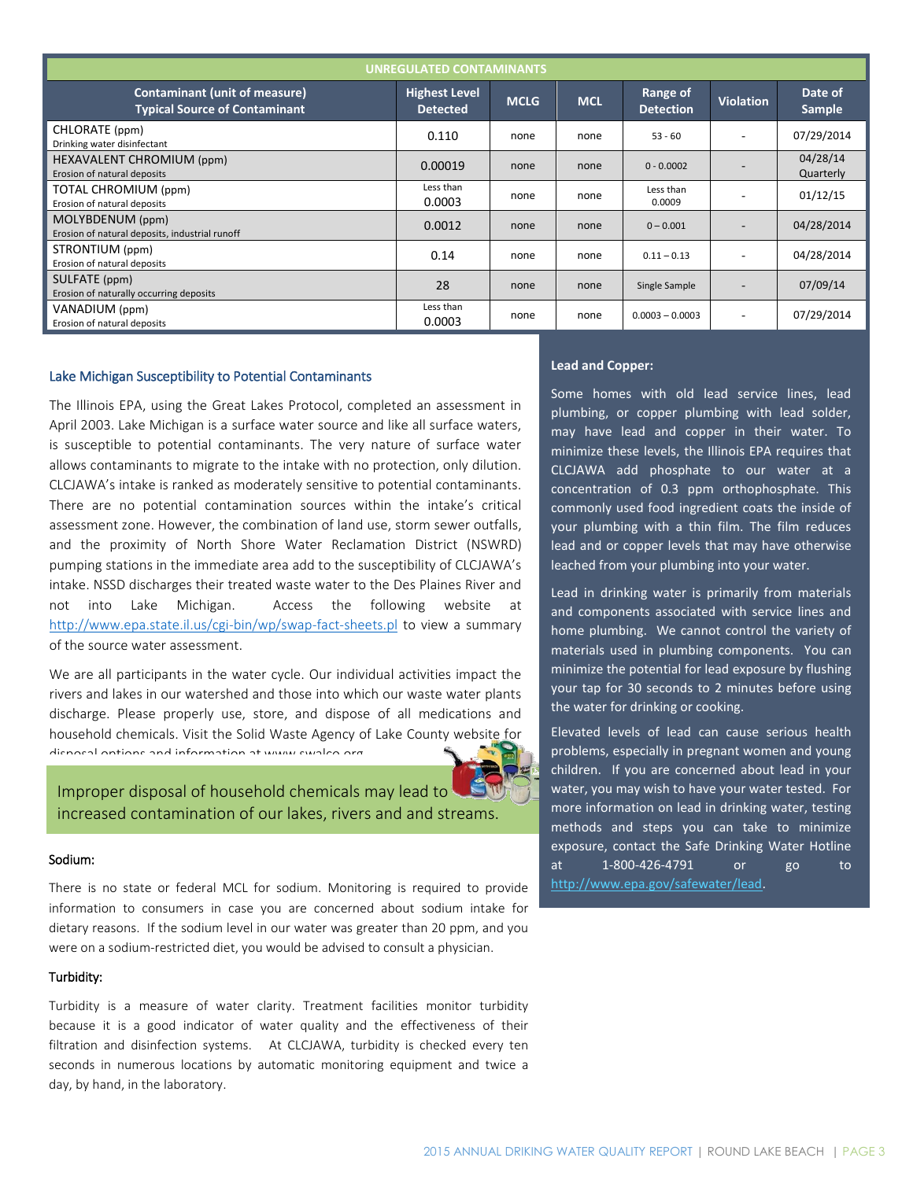| <b>UNREGULATED CONTAMINANTS</b>                                              |                                         |             |            |                              |                          |                          |  |  |  |  |
|------------------------------------------------------------------------------|-----------------------------------------|-------------|------------|------------------------------|--------------------------|--------------------------|--|--|--|--|
| <b>Contaminant (unit of measure)</b><br><b>Typical Source of Contaminant</b> | <b>Highest Level</b><br><b>Detected</b> | <b>MCLG</b> | <b>MCL</b> | Range of<br><b>Detection</b> | <b>Violation</b>         | Date of<br><b>Sample</b> |  |  |  |  |
| CHLORATE (ppm)<br>Drinking water disinfectant                                | 0.110                                   | none        | none       | $53 - 60$                    |                          | 07/29/2014               |  |  |  |  |
| HEXAVALENT CHROMIUM (ppm)<br>Erosion of natural deposits                     | 0.00019                                 | none        | none       | $0 - 0.0002$                 |                          | 04/28/14<br>Quarterly    |  |  |  |  |
| TOTAL CHROMIUM (ppm)<br>Erosion of natural deposits                          | Less than<br>0.0003                     | none        | none       | Less than<br>0.0009          |                          | 01/12/15                 |  |  |  |  |
| MOLYBDENUM (ppm)<br>Erosion of natural deposits, industrial runoff           | 0.0012                                  | none        | none       | $0 - 0.001$                  |                          | 04/28/2014               |  |  |  |  |
| STRONTIUM (ppm)<br>Erosion of natural deposits                               | 0.14                                    | none        | none       | $0.11 - 0.13$                | $\overline{\phantom{a}}$ | 04/28/2014               |  |  |  |  |
| SULFATE (ppm)<br>Erosion of naturally occurring deposits                     | 28                                      | none        | none       | Single Sample                |                          | 07/09/14                 |  |  |  |  |
| VANADIUM (ppm)<br>Erosion of natural deposits                                | Less than<br>0.0003                     | none        | none       | $0.0003 - 0.0003$            | $\blacksquare$           | 07/29/2014               |  |  |  |  |

#### Lake Michigan Susceptibility to Potential Contaminants

The Illinois EPA, using the Great Lakes Protocol, completed an assessment in April 2003. Lake Michigan is a surface water source and like all surface waters, is susceptible to potential contaminants. The very nature of surface water allows contaminants to migrate to the intake with no protection, only dilution. CLCJAWA's intake is ranked as moderately sensitive to potential contaminants. There are no potential contamination sources within the intake's critical assessment zone. However, the combination of land use, storm sewer outfalls, and the proximity of North Shore Water Reclamation District (NSWRD) pumping stations in the immediate area add to the susceptibility of CLCJAWA's intake. NSSD discharges their treated waste water to the Des Plaines River and not into Lake Michigan. Access the following website at <http://www.epa.state.il.us/cgi-bin/wp/swap-fact-sheets.pl> to view a summary of the source water assessment.

We are all participants in the water cycle. Our individual activities impact the rivers and lakes in our watershed and those into which our waste water plants discharge. Please properly use, store, and dispose of all medications and household chemicals. Visit the Solid Waste Agency of Lake County website for disposal options and information at www.swalco.org.

Improper disposal of household chemicals may lead to increased contamination of our lakes, rivers and and streams.

#### Sodium:

There is no state or federal MCL for sodium. Monitoring is required to provide information to consumers in case you are concerned about sodium intake for dietary reasons. If the sodium level in our water was greater than 20 ppm, and you were on a sodium-restricted diet, you would be advised to consult a physician.

#### Turbidity:

Turbidity is a measure of water clarity. Treatment facilities monitor turbidity because it is a good indicator of water quality and the effectiveness of their filtration and disinfection systems. At CLCJAWA, turbidity is checked every ten seconds in numerous locations by automatic monitoring equipment and twice a day, by hand, in the laboratory.

#### **Lead and Copper:**

Some homes with old lead service lines, lead plumbing, or copper plumbing with lead solder, may have lead and copper in their water. To minimize these levels, the Illinois EPA requires that CLCJAWA add phosphate to our water at a concentration of 0.3 ppm orthophosphate. This commonly used food ingredient coats the inside of your plumbing with a thin film. The film reduces lead and or copper levels that may have otherwise leached from your plumbing into your water.

Lead in drinking water is primarily from materials and components associated with service lines and home plumbing. We cannot control the variety of materials used in plumbing components. You can minimize the potential for lead exposure by flushing your tap for 30 seconds to 2 minutes before using the water for drinking or cooking.

Elevated levels of lead can cause serious health problems, especially in pregnant women and young children. If you are concerned about lead in your water, you may wish to have your water tested. For more information on lead in drinking water, testing methods and steps you can take to minimize exposure, contact the Safe Drinking Water Hotline at 1-800-426-4791 or go to [http://www.epa.gov/safewater/lead.](http://www.epa.gov/safewater/lead)